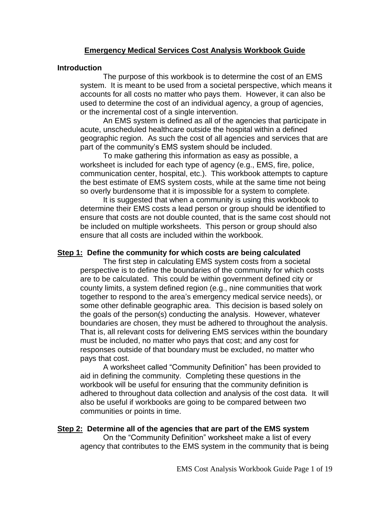# **Emergency Medical Services Cost Analysis Workbook Guide**

# **Introduction**

The purpose of this workbook is to determine the cost of an EMS system. It is meant to be used from a societal perspective, which means it accounts for all costs no matter who pays them. However, it can also be used to determine the cost of an individual agency, a group of agencies, or the incremental cost of a single intervention.

An EMS system is defined as all of the agencies that participate in acute, unscheduled healthcare outside the hospital within a defined geographic region. As such the cost of all agencies and services that are part of the community's EMS system should be included.

To make gathering this information as easy as possible, a worksheet is included for each type of agency (e.g., EMS, fire, police, communication center, hospital, etc.). This workbook attempts to capture the best estimate of EMS system costs, while at the same time not being so overly burdensome that it is impossible for a system to complete.

It is suggested that when a community is using this workbook to determine their EMS costs a lead person or group should be identified to ensure that costs are not double counted, that is the same cost should not be included on multiple worksheets. This person or group should also ensure that all costs are included within the workbook.

# **Step 1: Define the community for which costs are being calculated**

The first step in calculating EMS system costs from a societal perspective is to define the boundaries of the community for which costs are to be calculated. This could be within government defined city or county limits, a system defined region (e.g., nine communities that work together to respond to the area's emergency medical service needs), or some other definable geographic area. This decision is based solely on the goals of the person(s) conducting the analysis. However, whatever boundaries are chosen, they must be adhered to throughout the analysis. That is, all relevant costs for delivering EMS services within the boundary must be included, no matter who pays that cost; and any cost for responses outside of that boundary must be excluded, no matter who pays that cost.

A worksheet called "Community Definition" has been provided to aid in defining the community. Completing these questions in the workbook will be useful for ensuring that the community definition is adhered to throughout data collection and analysis of the cost data. It will also be useful if workbooks are going to be compared between two communities or points in time.

# **Step 2: Determine all of the agencies that are part of the EMS system**

On the "Community Definition" worksheet make a list of every agency that contributes to the EMS system in the community that is being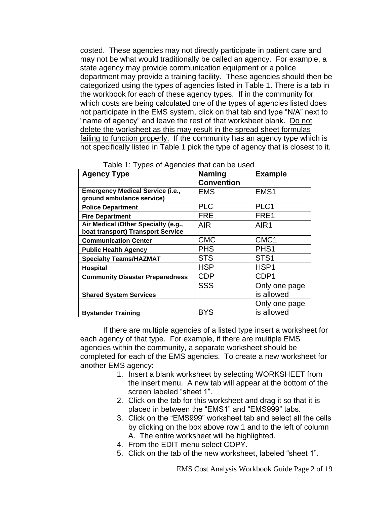costed. These agencies may not directly participate in patient care and may not be what would traditionally be called an agency. For example, a state agency may provide communication equipment or a police department may provide a training facility. These agencies should then be categorized using the types of agencies listed in Table 1. There is a tab in the workbook for each of these agency types. If in the community for which costs are being calculated one of the types of agencies listed does not participate in the EMS system, click on that tab and type "N/A" next to "name of agency" and leave the rest of that worksheet blank. Do not delete the worksheet as this may result in the spread sheet formulas failing to function properly. If the community has an agency type which is not specifically listed in Table 1 pick the type of agency that is closest to it.

| <b>Agency Type</b>                      | <b>Naming</b>     | <b>Example</b>   |
|-----------------------------------------|-------------------|------------------|
|                                         | <b>Convention</b> |                  |
| <b>Emergency Medical Service (i.e.,</b> | <b>EMS</b>        | EMS <sub>1</sub> |
| ground ambulance service)               |                   |                  |
| <b>Police Department</b>                | <b>PLC</b>        | PLC1             |
| <b>Fire Department</b>                  | <b>FRE</b>        | FRE1             |
| Air Medical /Other Specialty (e.g.,     | <b>AIR</b>        | AIR1             |
| boat transport) Transport Service       |                   |                  |
| <b>Communication Center</b>             | <b>CMC</b>        | CMC <sub>1</sub> |
| <b>Public Health Agency</b>             | <b>PHS</b>        | PHS <sub>1</sub> |
| <b>Specialty Teams/HAZMAT</b>           | <b>STS</b>        | STS <sub>1</sub> |
| <b>Hospital</b>                         | <b>HSP</b>        | HSP <sub>1</sub> |
| <b>Community Disaster Preparedness</b>  | <b>CDP</b>        | CDP <sub>1</sub> |
|                                         | <b>SSS</b>        | Only one page    |
| <b>Shared System Services</b>           |                   | is allowed       |
|                                         |                   | Only one page    |
| <b>Bystander Training</b>               | <b>BYS</b>        | is allowed       |

|  |  |  | Table 1: Types of Agencies that can be used |
|--|--|--|---------------------------------------------|
|--|--|--|---------------------------------------------|

If there are multiple agencies of a listed type insert a worksheet for each agency of that type. For example, if there are multiple EMS agencies within the community, a separate worksheet should be completed for each of the EMS agencies. To create a new worksheet for another EMS agency:

- 1. Insert a blank worksheet by selecting WORKSHEET from the insert menu. A new tab will appear at the bottom of the screen labeled "sheet 1".
- 2. Click on the tab for this worksheet and drag it so that it is placed in between the "EMS1" and "EMS999" tabs.
- 3. Click on the "EMS999" worksheet tab and select all the cells by clicking on the box above row 1 and to the left of column A. The entire worksheet will be highlighted.
- 4. From the EDIT menu select COPY.
- 5. Click on the tab of the new worksheet, labeled "sheet 1".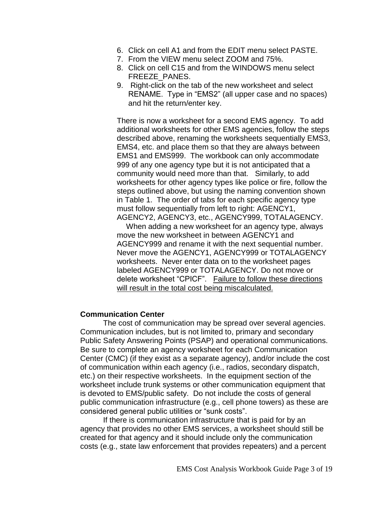- 6. Click on cell A1 and from the EDIT menu select PASTE.
- 7. From the VIEW menu select ZOOM and 75%.
- 8. Click on cell C15 and from the WINDOWS menu select FREEZE PANES.
- 9. Right-click on the tab of the new worksheet and select RENAME. Type in "EMS2" (all upper case and no spaces) and hit the return/enter key.

There is now a worksheet for a second EMS agency. To add additional worksheets for other EMS agencies, follow the steps described above, renaming the worksheets sequentially EMS3, EMS4, etc. and place them so that they are always between EMS1 and EMS999. The workbook can only accommodate 999 of any one agency type but it is not anticipated that a community would need more than that. Similarly, to add worksheets for other agency types like police or fire, follow the steps outlined above, but using the naming convention shown in Table 1. The order of tabs for each specific agency type must follow sequentially from left to right: AGENCY1, AGENCY2, AGENCY3, etc., AGENCY999, TOTALAGENCY.

When adding a new worksheet for an agency type, always move the new worksheet in between AGENCY1 and AGENCY999 and rename it with the next sequential number. Never move the AGENCY1, AGENCY999 or TOTALAGENCY worksheets. Never enter data on to the worksheet pages labeled AGENCY999 or TOTALAGENCY. Do not move or delete worksheet "CPICF". Failure to follow these directions will result in the total cost being miscalculated.

# **Communication Center**

The cost of communication may be spread over several agencies. Communication includes, but is not limited to, primary and secondary Public Safety Answering Points (PSAP) and operational communications. Be sure to complete an agency worksheet for each Communication Center (CMC) (if they exist as a separate agency), and/or include the cost of communication within each agency (i.e., radios, secondary dispatch, etc.) on their respective worksheets. In the equipment section of the worksheet include trunk systems or other communication equipment that is devoted to EMS/public safety. Do not include the costs of general public communication infrastructure (e.g., cell phone towers) as these are considered general public utilities or "sunk costs".

If there is communication infrastructure that is paid for by an agency that provides no other EMS services, a worksheet should still be created for that agency and it should include only the communication costs (e.g., state law enforcement that provides repeaters) and a percent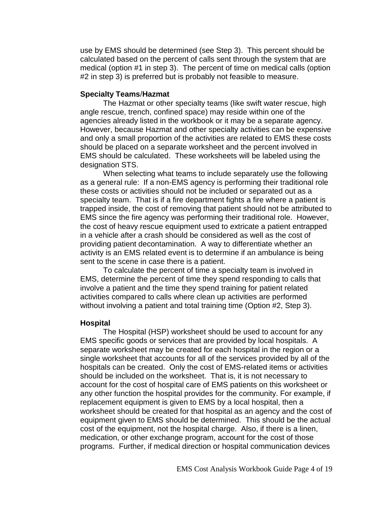use by EMS should be determined (see Step 3). This percent should be calculated based on the percent of calls sent through the system that are medical (option #1 in step 3). The percent of time on medical calls (option #2 in step 3) is preferred but is probably not feasible to measure.

# **Specialty Teams**/**Hazmat**

The Hazmat or other specialty teams (like swift water rescue, high angle rescue, trench, confined space) may reside within one of the agencies already listed in the workbook or it may be a separate agency. However, because Hazmat and other specialty activities can be expensive and only a small proportion of the activities are related to EMS these costs should be placed on a separate worksheet and the percent involved in EMS should be calculated. These worksheets will be labeled using the designation STS.

When selecting what teams to include separately use the following as a general rule: If a non-EMS agency is performing their traditional role these costs or activities should not be included or separated out as a specialty team. That is if a fire department fights a fire where a patient is trapped inside, the cost of removing that patient should not be attributed to EMS since the fire agency was performing their traditional role. However, the cost of heavy rescue equipment used to extricate a patient entrapped in a vehicle after a crash should be considered as well as the cost of providing patient decontamination. A way to differentiate whether an activity is an EMS related event is to determine if an ambulance is being sent to the scene in case there is a patient.

To calculate the percent of time a specialty team is involved in EMS, determine the percent of time they spend responding to calls that involve a patient and the time they spend training for patient related activities compared to calls where clean up activities are performed without involving a patient and total training time (Option #2, Step 3).

# **Hospital**

The Hospital (HSP) worksheet should be used to account for any EMS specific goods or services that are provided by local hospitals. A separate worksheet may be created for each hospital in the region or a single worksheet that accounts for all of the services provided by all of the hospitals can be created. Only the cost of EMS-related items or activities should be included on the worksheet. That is, it is not necessary to account for the cost of hospital care of EMS patients on this worksheet or any other function the hospital provides for the community. For example, if replacement equipment is given to EMS by a local hospital, then a worksheet should be created for that hospital as an agency and the cost of equipment given to EMS should be determined. This should be the actual cost of the equipment, not the hospital charge. Also, if there is a linen, medication, or other exchange program, account for the cost of those programs. Further, if medical direction or hospital communication devices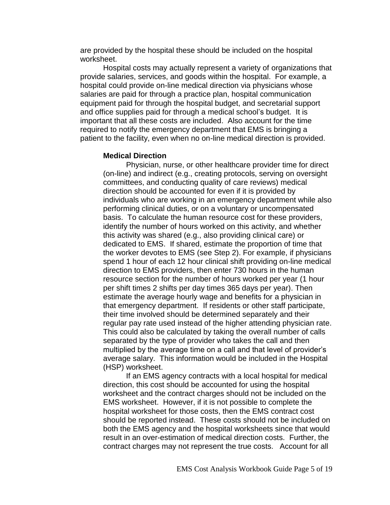are provided by the hospital these should be included on the hospital worksheet.

Hospital costs may actually represent a variety of organizations that provide salaries, services, and goods within the hospital. For example, a hospital could provide on-line medical direction via physicians whose salaries are paid for through a practice plan, hospital communication equipment paid for through the hospital budget, and secretarial support and office supplies paid for through a medical school's budget. It is important that all these costs are included. Also account for the time required to notify the emergency department that EMS is bringing a patient to the facility, even when no on-line medical direction is provided.

# **Medical Direction**

Physician, nurse, or other healthcare provider time for direct (on-line) and indirect (e.g., creating protocols, serving on oversight committees, and conducting quality of care reviews) medical direction should be accounted for even if it is provided by individuals who are working in an emergency department while also performing clinical duties, or on a voluntary or uncompensated basis. To calculate the human resource cost for these providers, identify the number of hours worked on this activity, and whether this activity was shared (e.g., also providing clinical care) or dedicated to EMS. If shared, estimate the proportion of time that the worker devotes to EMS (see Step 2). For example, if physicians spend 1 hour of each 12 hour clinical shift providing on-line medical direction to EMS providers, then enter 730 hours in the human resource section for the number of hours worked per year (1 hour per shift times 2 shifts per day times 365 days per year). Then estimate the average hourly wage and benefits for a physician in that emergency department. If residents or other staff participate, their time involved should be determined separately and their regular pay rate used instead of the higher attending physician rate. This could also be calculated by taking the overall number of calls separated by the type of provider who takes the call and then multiplied by the average time on a call and that level of provider's average salary. This information would be included in the Hospital (HSP) worksheet.

If an EMS agency contracts with a local hospital for medical direction, this cost should be accounted for using the hospital worksheet and the contract charges should not be included on the EMS worksheet. However, if it is not possible to complete the hospital worksheet for those costs, then the EMS contract cost should be reported instead. These costs should not be included on both the EMS agency and the hospital worksheets since that would result in an over-estimation of medical direction costs. Further, the contract charges may not represent the true costs. Account for all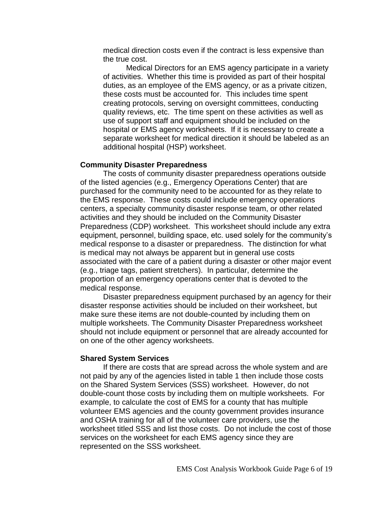medical direction costs even if the contract is less expensive than the true cost.

Medical Directors for an EMS agency participate in a variety of activities. Whether this time is provided as part of their hospital duties, as an employee of the EMS agency, or as a private citizen, these costs must be accounted for. This includes time spent creating protocols, serving on oversight committees, conducting quality reviews, etc. The time spent on these activities as well as use of support staff and equipment should be included on the hospital or EMS agency worksheets. If it is necessary to create a separate worksheet for medical direction it should be labeled as an additional hospital (HSP) worksheet.

#### **Community Disaster Preparedness**

The costs of community disaster preparedness operations outside of the listed agencies (e.g., Emergency Operations Center) that are purchased for the community need to be accounted for as they relate to the EMS response. These costs could include emergency operations centers, a specialty community disaster response team, or other related activities and they should be included on the Community Disaster Preparedness (CDP) worksheet. This worksheet should include any extra equipment, personnel, building space, etc. used solely for the community's medical response to a disaster or preparedness. The distinction for what is medical may not always be apparent but in general use costs associated with the care of a patient during a disaster or other major event (e.g., triage tags, patient stretchers). In particular, determine the proportion of an emergency operations center that is devoted to the medical response.

Disaster preparedness equipment purchased by an agency for their disaster response activities should be included on their worksheet, but make sure these items are not double-counted by including them on multiple worksheets. The Community Disaster Preparedness worksheet should not include equipment or personnel that are already accounted for on one of the other agency worksheets.

#### **Shared System Services**

If there are costs that are spread across the whole system and are not paid by any of the agencies listed in table 1 then include those costs on the Shared System Services (SSS) worksheet. However, do not double-count those costs by including them on multiple worksheets. For example, to calculate the cost of EMS for a county that has multiple volunteer EMS agencies and the county government provides insurance and OSHA training for all of the volunteer care providers, use the worksheet titled SSS and list those costs. Do not include the cost of those services on the worksheet for each EMS agency since they are represented on the SSS worksheet.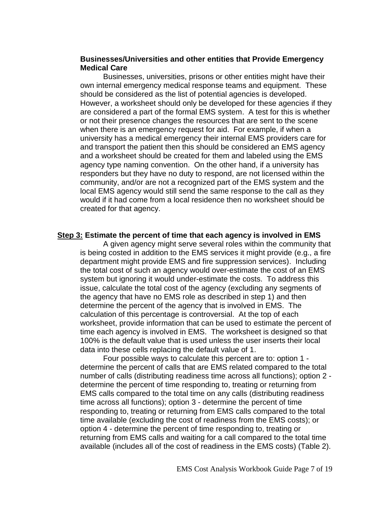# **Businesses/Universities and other entities that Provide Emergency Medical Care**

Businesses, universities, prisons or other entities might have their own internal emergency medical response teams and equipment. These should be considered as the list of potential agencies is developed. However, a worksheet should only be developed for these agencies if they are considered a part of the formal EMS system. A test for this is whether or not their presence changes the resources that are sent to the scene when there is an emergency request for aid. For example, if when a university has a medical emergency their internal EMS providers care for and transport the patient then this should be considered an EMS agency and a worksheet should be created for them and labeled using the EMS agency type naming convention. On the other hand, if a university has responders but they have no duty to respond, are not licensed within the community, and/or are not a recognized part of the EMS system and the local EMS agency would still send the same response to the call as they would if it had come from a local residence then no worksheet should be created for that agency.

# **Step 3: Estimate the percent of time that each agency is involved in EMS**

A given agency might serve several roles within the community that is being costed in addition to the EMS services it might provide (e.g., a fire department might provide EMS and fire suppression services). Including the total cost of such an agency would over-estimate the cost of an EMS system but ignoring it would under-estimate the costs. To address this issue, calculate the total cost of the agency (excluding any segments of the agency that have no EMS role as described in step 1) and then determine the percent of the agency that is involved in EMS. The calculation of this percentage is controversial. At the top of each worksheet, provide information that can be used to estimate the percent of time each agency is involved in EMS. The worksheet is designed so that 100% is the default value that is used unless the user inserts their local data into these cells replacing the default value of 1.

Four possible ways to calculate this percent are to: option 1 determine the percent of calls that are EMS related compared to the total number of calls (distributing readiness time across all functions); option 2 determine the percent of time responding to, treating or returning from EMS calls compared to the total time on any calls (distributing readiness time across all functions); option 3 - determine the percent of time responding to, treating or returning from EMS calls compared to the total time available (excluding the cost of readiness from the EMS costs); or option 4 - determine the percent of time responding to, treating or returning from EMS calls and waiting for a call compared to the total time available (includes all of the cost of readiness in the EMS costs) (Table 2).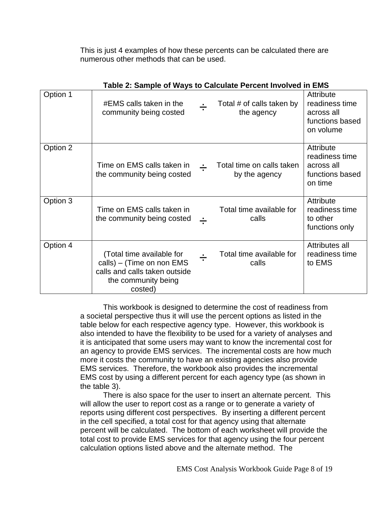This is just 4 examples of how these percents can be calculated there are numerous other methods that can be used.

|          | Table 2: Sample of Ways to Calculate Percent Involved in EMS                                                              |                |                                            |                                                                           |
|----------|---------------------------------------------------------------------------------------------------------------------------|----------------|--------------------------------------------|---------------------------------------------------------------------------|
| Option 1 | #EMS calls taken in the<br>community being costed                                                                         | $\blacksquare$ | Total # of calls taken by<br>the agency    | Attribute<br>readiness time<br>across all<br>functions based<br>on volume |
| Option 2 | Time on EMS calls taken in<br>the community being costed                                                                  |                | Total time on calls taken<br>by the agency | Attribute<br>readiness time<br>across all<br>functions based<br>on time   |
| Option 3 | Time on EMS calls taken in<br>the community being costed                                                                  |                | Total time available for<br>calls          | Attribute<br>readiness time<br>to other<br>functions only                 |
| Option 4 | (Total time available for<br>calls) – (Time on non EMS<br>calls and calls taken outside<br>the community being<br>costed) |                | Total time available for<br>calls          | Attributes all<br>readiness time<br>to EMS                                |

| Table 2: Sample of Ways to Calculate Percent Involved in EMS |  |  |  |
|--------------------------------------------------------------|--|--|--|
|                                                              |  |  |  |

This workbook is designed to determine the cost of readiness from a societal perspective thus it will use the percent options as listed in the table below for each respective agency type. However, this workbook is also intended to have the flexibility to be used for a variety of analyses and it is anticipated that some users may want to know the incremental cost for an agency to provide EMS services. The incremental costs are how much more it costs the community to have an existing agencies also provide EMS services. Therefore, the workbook also provides the incremental EMS cost by using a different percent for each agency type (as shown in the table 3).

There is also space for the user to insert an alternate percent. This will allow the user to report cost as a range or to generate a variety of reports using different cost perspectives. By inserting a different percent in the cell specified, a total cost for that agency using that alternate percent will be calculated. The bottom of each worksheet will provide the total cost to provide EMS services for that agency using the four percent calculation options listed above and the alternate method. The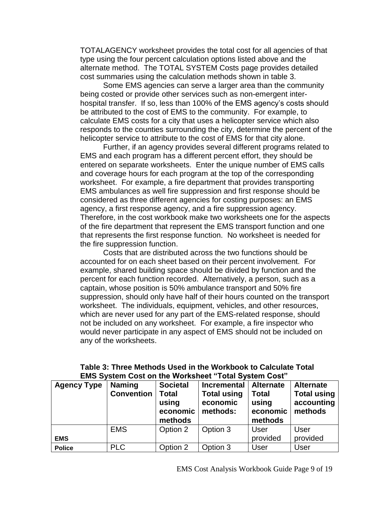TOTALAGENCY worksheet provides the total cost for all agencies of that type using the four percent calculation options listed above and the alternate method. The TOTAL SYSTEM Costs page provides detailed cost summaries using the calculation methods shown in table 3.

Some EMS agencies can serve a larger area than the community being costed or provide other services such as non-emergent interhospital transfer. If so, less than 100% of the EMS agency's costs should be attributed to the cost of EMS to the community. For example, to calculate EMS costs for a city that uses a helicopter service which also responds to the counties surrounding the city, determine the percent of the helicopter service to attribute to the cost of EMS for that city alone.

Further, if an agency provides several different programs related to EMS and each program has a different percent effort, they should be entered on separate worksheets. Enter the unique number of EMS calls and coverage hours for each program at the top of the corresponding worksheet. For example, a fire department that provides transporting EMS ambulances as well fire suppression and first response should be considered as three different agencies for costing purposes: an EMS agency, a first response agency, and a fire suppression agency. Therefore, in the cost workbook make two worksheets one for the aspects of the fire department that represent the EMS transport function and one that represents the first response function. No worksheet is needed for the fire suppression function.

Costs that are distributed across the two functions should be accounted for on each sheet based on their percent involvement. For example, shared building space should be divided by function and the percent for each function recorded. Alternatively, a person, such as a captain, whose position is 50% ambulance transport and 50% fire suppression, should only have half of their hours counted on the transport worksheet. The individuals, equipment, vehicles, and other resources, which are never used for any part of the EMS-related response, should not be included on any worksheet. For example, a fire inspector who would never participate in any aspect of EMS should not be included on any of the worksheets.

| <b>Agency Type</b> | <b>Naming</b><br><b>Convention</b> | <b>Societal</b><br><b>Total</b><br>using<br>economic<br>methods | <b>Incremental</b><br><b>Total using</b><br>economic<br>methods: | <b>Alternate</b><br><b>Total</b><br>using<br>economic<br>methods | <b>Alternate</b><br><b>Total using</b><br>accounting<br>methods |
|--------------------|------------------------------------|-----------------------------------------------------------------|------------------------------------------------------------------|------------------------------------------------------------------|-----------------------------------------------------------------|
|                    | <b>EMS</b>                         | Option 2                                                        | Option 3                                                         | User                                                             | User                                                            |
| <b>EMS</b>         |                                    |                                                                 |                                                                  | provided                                                         | provided                                                        |
| <b>Police</b>      | <b>PLC</b>                         | Option 2                                                        | Option 3                                                         | User                                                             | <b>User</b>                                                     |

| Table 3: Three Methods Used in the Workbook to Calculate Total |  |
|----------------------------------------------------------------|--|
| <b>EMS System Cost on the Worksheet "Total System Cost"</b>    |  |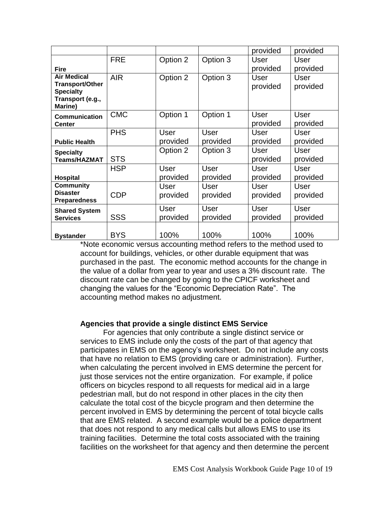|                                                                                                 |            |                  |                  | provided         | provided                |
|-------------------------------------------------------------------------------------------------|------------|------------------|------------------|------------------|-------------------------|
|                                                                                                 | <b>FRE</b> | Option 2         | Option 3         | User             | User                    |
| <b>Fire</b>                                                                                     |            |                  |                  | provided         | provided                |
| <b>Air Medical</b><br><b>Transport/Other</b><br><b>Specialty</b><br>Transport (e.g.,<br>Marine) | <b>AIR</b> | Option 2         | Option 3         | User<br>provided | User<br>provided        |
| Communication<br>Center                                                                         | <b>CMC</b> | Option 1         | Option 1         | User<br>provided | <b>User</b><br>provided |
|                                                                                                 | <b>PHS</b> | User             | User             | User             | User                    |
| <b>Public Health</b>                                                                            |            | provided         | provided         | provided         | provided                |
| <b>Specialty</b><br><b>Teams/HAZMAT</b>                                                         | <b>STS</b> | Option 2         | Option 3         | User<br>provided | <b>User</b><br>provided |
|                                                                                                 | <b>HSP</b> | User             | User             | User             | User                    |
| Hospital                                                                                        |            | provided         | provided         | provided         | provided                |
| <b>Community</b><br><b>Disaster</b>                                                             | <b>CDP</b> | User<br>provided | User<br>provided | User<br>provided | User<br>provided        |
| <b>Preparedness</b>                                                                             |            |                  |                  |                  |                         |
| <b>Shared System</b><br><b>Services</b>                                                         | <b>SSS</b> | User<br>provided | User<br>provided | User<br>provided | <b>User</b><br>provided |
| <b>Bystander</b>                                                                                | <b>BYS</b> | 100%             | 100%             | 100%             | 100%                    |

\*Note economic versus accounting method refers to the method used to account for buildings, vehicles, or other durable equipment that was purchased in the past. The economic method accounts for the change in the value of a dollar from year to year and uses a 3% discount rate. The discount rate can be changed by going to the CPICF worksheet and changing the values for the "Economic Depreciation Rate". The accounting method makes no adjustment.

# **Agencies that provide a single distinct EMS Service**

For agencies that only contribute a single distinct service or services to EMS include only the costs of the part of that agency that participates in EMS on the agency's worksheet. Do not include any costs that have no relation to EMS (providing care or administration). Further, when calculating the percent involved in EMS determine the percent for just those services not the entire organization. For example, if police officers on bicycles respond to all requests for medical aid in a large pedestrian mall, but do not respond in other places in the city then calculate the total cost of the bicycle program and then determine the percent involved in EMS by determining the percent of total bicycle calls that are EMS related. A second example would be a police department that does not respond to any medical calls but allows EMS to use its training facilities. Determine the total costs associated with the training facilities on the worksheet for that agency and then determine the percent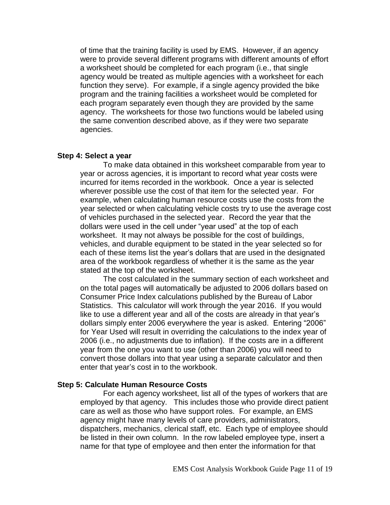of time that the training facility is used by EMS. However, if an agency were to provide several different programs with different amounts of effort a worksheet should be completed for each program (i.e., that single agency would be treated as multiple agencies with a worksheet for each function they serve). For example, if a single agency provided the bike program and the training facilities a worksheet would be completed for each program separately even though they are provided by the same agency. The worksheets for those two functions would be labeled using the same convention described above, as if they were two separate agencies.

#### **Step 4: Select a year**

To make data obtained in this worksheet comparable from year to year or across agencies, it is important to record what year costs were incurred for items recorded in the workbook. Once a year is selected wherever possible use the cost of that item for the selected year. For example, when calculating human resource costs use the costs from the year selected or when calculating vehicle costs try to use the average cost of vehicles purchased in the selected year. Record the year that the dollars were used in the cell under "year used" at the top of each worksheet. It may not always be possible for the cost of buildings, vehicles, and durable equipment to be stated in the year selected so for each of these items list the year's dollars that are used in the designated area of the workbook regardless of whether it is the same as the year stated at the top of the worksheet.

The cost calculated in the summary section of each worksheet and on the total pages will automatically be adjusted to 2006 dollars based on Consumer Price Index calculations published by the Bureau of Labor Statistics. This calculator will work through the year 2016. If you would like to use a different year and all of the costs are already in that year's dollars simply enter 2006 everywhere the year is asked. Entering "2006" for Year Used will result in overriding the calculations to the index year of 2006 (i.e., no adjustments due to inflation). If the costs are in a different year from the one you want to use (other than 2006) you will need to convert those dollars into that year using a separate calculator and then enter that year's cost in to the workbook.

#### **Step 5: Calculate Human Resource Costs**

For each agency worksheet, list all of the types of workers that are employed by that agency. This includes those who provide direct patient care as well as those who have support roles. For example, an EMS agency might have many levels of care providers, administrators, dispatchers, mechanics, clerical staff, etc. Each type of employee should be listed in their own column. In the row labeled employee type, insert a name for that type of employee and then enter the information for that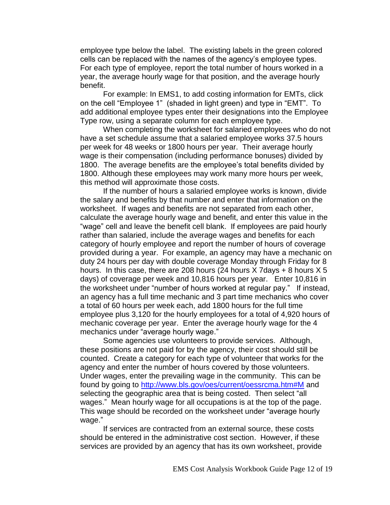employee type below the label. The existing labels in the green colored cells can be replaced with the names of the agency's employee types. For each type of employee, report the total number of hours worked in a year, the average hourly wage for that position, and the average hourly benefit.

For example: In EMS1, to add costing information for EMTs, click on the cell "Employee 1" (shaded in light green) and type in "EMT". To add additional employee types enter their designations into the Employee Type row, using a separate column for each employee type.

When completing the worksheet for salaried employees who do not have a set schedule assume that a salaried employee works 37.5 hours per week for 48 weeks or 1800 hours per year. Their average hourly wage is their compensation (including performance bonuses) divided by 1800. The average benefits are the employee's total benefits divided by 1800. Although these employees may work many more hours per week, this method will approximate those costs.

If the number of hours a salaried employee works is known, divide the salary and benefits by that number and enter that information on the worksheet. If wages and benefits are not separated from each other, calculate the average hourly wage and benefit, and enter this value in the "wage" cell and leave the benefit cell blank. If employees are paid hourly rather than salaried, include the average wages and benefits for each category of hourly employee and report the number of hours of coverage provided during a year. For example, an agency may have a mechanic on duty 24 hours per day with double coverage Monday through Friday for 8 hours. In this case, there are 208 hours (24 hours X 7days + 8 hours X 5 days) of coverage per week and 10,816 hours per year. Enter 10,816 in the worksheet under "number of hours worked at regular pay." If instead, an agency has a full time mechanic and 3 part time mechanics who cover a total of 60 hours per week each, add 1800 hours for the full time employee plus 3,120 for the hourly employees for a total of 4,920 hours of mechanic coverage per year. Enter the average hourly wage for the 4 mechanics under "average hourly wage."

Some agencies use volunteers to provide services. Although, these positions are not paid for by the agency, their cost should still be counted. Create a category for each type of volunteer that works for the agency and enter the number of hours covered by those volunteers. Under wages, enter the prevailing wage in the community. This can be found by going to<http://www.bls.gov/oes/current/oessrcma.htm#M> and selecting the geographic area that is being costed. Then select "all wages." Mean hourly wage for all occupations is at the top of the page. This wage should be recorded on the worksheet under "average hourly wage."

If services are contracted from an external source, these costs should be entered in the administrative cost section. However, if these services are provided by an agency that has its own worksheet, provide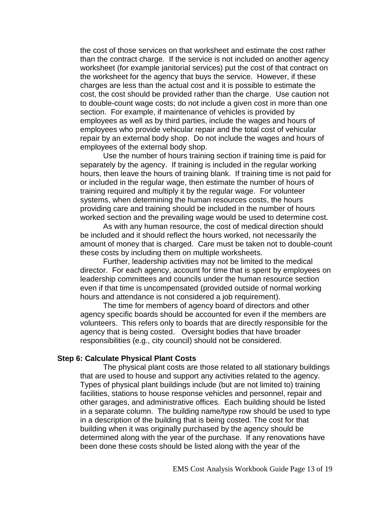the cost of those services on that worksheet and estimate the cost rather than the contract charge. If the service is not included on another agency worksheet (for example janitorial services) put the cost of that contract on the worksheet for the agency that buys the service. However, if these charges are less than the actual cost and it is possible to estimate the cost, the cost should be provided rather than the charge. Use caution not to double-count wage costs; do not include a given cost in more than one section. For example, if maintenance of vehicles is provided by employees as well as by third parties, include the wages and hours of employees who provide vehicular repair and the total cost of vehicular repair by an external body shop. Do not include the wages and hours of employees of the external body shop.

Use the number of hours training section if training time is paid for separately by the agency. If training is included in the regular working hours, then leave the hours of training blank. If training time is not paid for or included in the regular wage, then estimate the number of hours of training required and multiply it by the regular wage. For volunteer systems, when determining the human resources costs, the hours providing care and training should be included in the number of hours worked section and the prevailing wage would be used to determine cost.

As with any human resource, the cost of medical direction should be included and it should reflect the hours worked, not necessarily the amount of money that is charged. Care must be taken not to double-count these costs by including them on multiple worksheets.

Further, leadership activities may not be limited to the medical director. For each agency, account for time that is spent by employees on leadership committees and councils under the human resource section even if that time is uncompensated (provided outside of normal working hours and attendance is not considered a job requirement).

The time for members of agency board of directors and other agency specific boards should be accounted for even if the members are volunteers. This refers only to boards that are directly responsible for the agency that is being costed. Oversight bodies that have broader responsibilities (e.g., city council) should not be considered.

### **Step 6: Calculate Physical Plant Costs**

The physical plant costs are those related to all stationary buildings that are used to house and support any activities related to the agency. Types of physical plant buildings include (but are not limited to) training facilities, stations to house response vehicles and personnel, repair and other garages, and administrative offices. Each building should be listed in a separate column. The building name/type row should be used to type in a description of the building that is being costed. The cost for that building when it was originally purchased by the agency should be determined along with the year of the purchase. If any renovations have been done these costs should be listed along with the year of the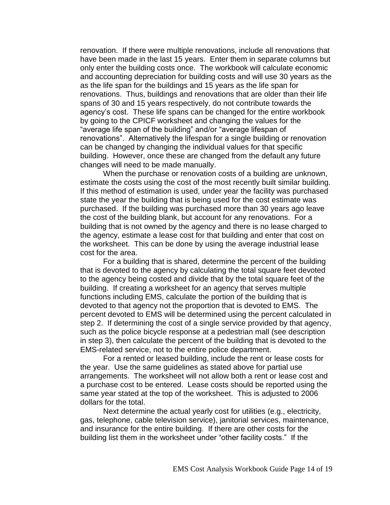renovation. If there were multiple renovations, include all renovations that have been made in the last 15 years. Enter them in separate columns but only enter the building costs once. The workbook will calculate economic and accounting depreciation for building costs and will use 30 years as the as the life span for the buildings and 15 years as the life span for renovations. Thus, buildings and renovations that are older than their life spans of 30 and 15 years respectively, do not contribute towards the agency's cost. These life spans can be changed for the entire workbook by going to the CPICF worksheet and changing the values for the "average life span of the building" and/or "average lifespan of renovations". Alternatively the lifespan for a single building or renovation can be changed by changing the individual values for that specific building. However, once these are changed from the default any future changes will need to be made manually.

When the purchase or renovation costs of a building are unknown, estimate the costs using the cost of the most recently built similar building. If this method of estimation is used, under year the facility was purchased state the year the building that is being used for the cost estimate was purchased. If the building was purchased more than 30 years ago leave the cost of the building blank, but account for any renovations. For a building that is not owned by the agency and there is no lease charged to the agency, estimate a lease cost for that building and enter that cost on the worksheet. This can be done by using the average industrial lease cost for the area.

For a building that is shared, determine the percent of the building that is devoted to the agency by calculating the total square feet devoted to the agency being costed and divide that by the total square feet of the building. If creating a worksheet for an agency that serves multiple functions including EMS, calculate the portion of the building that is devoted to that agency not the proportion that is devoted to EMS. The percent devoted to EMS will be determined using the percent calculated in step 2. If determining the cost of a single service provided by that agency, such as the police bicycle response at a pedestrian mall (see description in step 3), then calculate the percent of the building that is devoted to the EMS-related service, not to the entire police department.

For a rented or leased building, include the rent or lease costs for the year. Use the same guidelines as stated above for partial use arrangements. The worksheet will not allow both a rent or lease cost and a purchase cost to be entered. Lease costs should be reported using the same year stated at the top of the worksheet. This is adjusted to 2006 dollars for the total.

Next determine the actual yearly cost for utilities (e.g., electricity, gas, telephone, cable television service), janitorial services, maintenance, and insurance for the entire building. If there are other costs for the building list them in the worksheet under "other facility costs." If the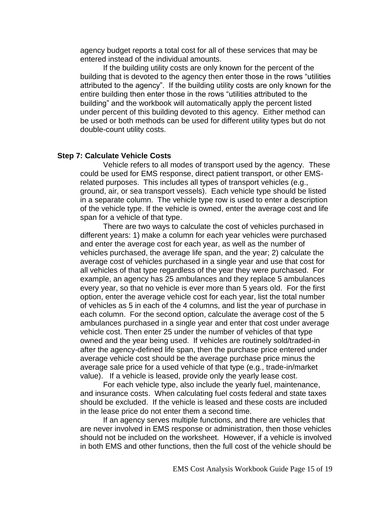agency budget reports a total cost for all of these services that may be entered instead of the individual amounts.

If the building utility costs are only known for the percent of the building that is devoted to the agency then enter those in the rows "utilities attributed to the agency". If the building utility costs are only known for the entire building then enter those in the rows "utilities attributed to the building" and the workbook will automatically apply the percent listed under percent of this building devoted to this agency. Either method can be used or both methods can be used for different utility types but do not double-count utility costs.

#### **Step 7: Calculate Vehicle Costs**

Vehicle refers to all modes of transport used by the agency. These could be used for EMS response, direct patient transport, or other EMSrelated purposes. This includes all types of transport vehicles (e.g., ground, air, or sea transport vessels). Each vehicle type should be listed in a separate column. The vehicle type row is used to enter a description of the vehicle type. If the vehicle is owned, enter the average cost and life span for a vehicle of that type.

There are two ways to calculate the cost of vehicles purchased in different years: 1) make a column for each year vehicles were purchased and enter the average cost for each year, as well as the number of vehicles purchased, the average life span, and the year; 2) calculate the average cost of vehicles purchased in a single year and use that cost for all vehicles of that type regardless of the year they were purchased. For example, an agency has 25 ambulances and they replace 5 ambulances every year, so that no vehicle is ever more than 5 years old. For the first option, enter the average vehicle cost for each year, list the total number of vehicles as 5 in each of the 4 columns, and list the year of purchase in each column. For the second option, calculate the average cost of the 5 ambulances purchased in a single year and enter that cost under average vehicle cost. Then enter 25 under the number of vehicles of that type owned and the year being used. If vehicles are routinely sold/traded-in after the agency-defined life span, then the purchase price entered under average vehicle cost should be the average purchase price minus the average sale price for a used vehicle of that type (e.g., trade-in/market value). If a vehicle is leased, provide only the yearly lease cost.

For each vehicle type, also include the yearly fuel, maintenance, and insurance costs. When calculating fuel costs federal and state taxes should be excluded. If the vehicle is leased and these costs are included in the lease price do not enter them a second time.

If an agency serves multiple functions, and there are vehicles that are never involved in EMS response or administration, then those vehicles should not be included on the worksheet. However, if a vehicle is involved in both EMS and other functions, then the full cost of the vehicle should be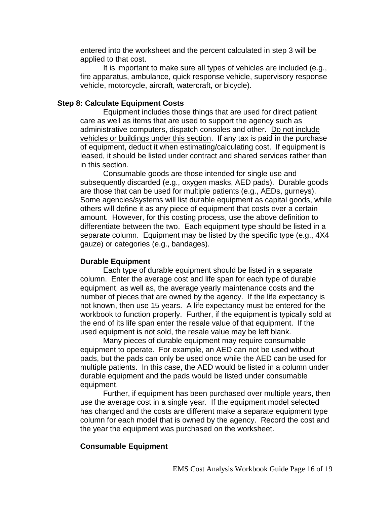entered into the worksheet and the percent calculated in step 3 will be applied to that cost.

It is important to make sure all types of vehicles are included (e.g., fire apparatus, ambulance, quick response vehicle, supervisory response vehicle, motorcycle, aircraft, watercraft, or bicycle).

# **Step 8: Calculate Equipment Costs**

Equipment includes those things that are used for direct patient care as well as items that are used to support the agency such as administrative computers, dispatch consoles and other. Do not include vehicles or buildings under this section. If any tax is paid in the purchase of equipment, deduct it when estimating/calculating cost. If equipment is leased, it should be listed under contract and shared services rather than in this section.

Consumable goods are those intended for single use and subsequently discarded (e.g., oxygen masks, AED pads). Durable goods are those that can be used for multiple patients (e.g., AEDs, gurneys). Some agencies/systems will list durable equipment as capital goods, while others will define it as any piece of equipment that costs over a certain amount. However, for this costing process, use the above definition to differentiate between the two. Each equipment type should be listed in a separate column. Equipment may be listed by the specific type (e.g., 4X4 gauze) or categories (e.g., bandages).

# **Durable Equipment**

Each type of durable equipment should be listed in a separate column. Enter the average cost and life span for each type of durable equipment, as well as, the average yearly maintenance costs and the number of pieces that are owned by the agency. If the life expectancy is not known, then use 15 years. A life expectancy must be entered for the workbook to function properly. Further, if the equipment is typically sold at the end of its life span enter the resale value of that equipment. If the used equipment is not sold, the resale value may be left blank.

Many pieces of durable equipment may require consumable equipment to operate. For example, an AED can not be used without pads, but the pads can only be used once while the AED can be used for multiple patients. In this case, the AED would be listed in a column under durable equipment and the pads would be listed under consumable equipment.

Further, if equipment has been purchased over multiple years, then use the average cost in a single year. If the equipment model selected has changed and the costs are different make a separate equipment type column for each model that is owned by the agency. Record the cost and the year the equipment was purchased on the worksheet.

# **Consumable Equipment**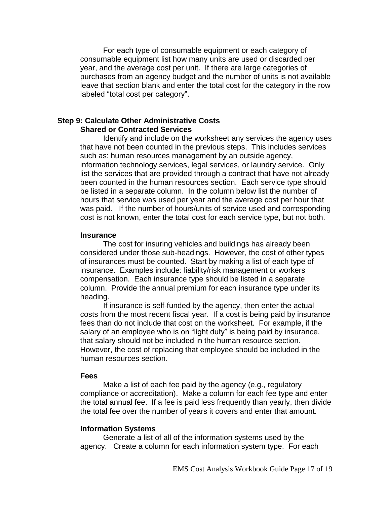For each type of consumable equipment or each category of consumable equipment list how many units are used or discarded per year, and the average cost per unit. If there are large categories of purchases from an agency budget and the number of units is not available leave that section blank and enter the total cost for the category in the row labeled "total cost per category".

### **Step 9: Calculate Other Administrative Costs Shared or Contracted Services**

Identify and include on the worksheet any services the agency uses that have not been counted in the previous steps. This includes services such as: human resources management by an outside agency, information technology services, legal services, or laundry service. Only list the services that are provided through a contract that have not already been counted in the human resources section. Each service type should be listed in a separate column. In the column below list the number of hours that service was used per year and the average cost per hour that was paid. If the number of hours/units of service used and corresponding cost is not known, enter the total cost for each service type, but not both.

### **Insurance**

The cost for insuring vehicles and buildings has already been considered under those sub-headings. However, the cost of other types of insurances must be counted. Start by making a list of each type of insurance. Examples include: liability/risk management or workers compensation. Each insurance type should be listed in a separate column. Provide the annual premium for each insurance type under its heading.

If insurance is self-funded by the agency, then enter the actual costs from the most recent fiscal year. If a cost is being paid by insurance fees than do not include that cost on the worksheet. For example, if the salary of an employee who is on "light duty" is being paid by insurance, that salary should not be included in the human resource section. However, the cost of replacing that employee should be included in the human resources section.

#### **Fees**

Make a list of each fee paid by the agency (e.g., regulatory compliance or accreditation). Make a column for each fee type and enter the total annual fee. If a fee is paid less frequently than yearly, then divide the total fee over the number of years it covers and enter that amount.

### **Information Systems**

Generate a list of all of the information systems used by the agency. Create a column for each information system type. For each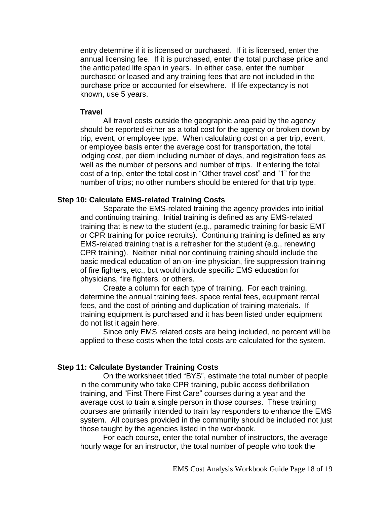entry determine if it is licensed or purchased. If it is licensed, enter the annual licensing fee. If it is purchased, enter the total purchase price and the anticipated life span in years. In either case, enter the number purchased or leased and any training fees that are not included in the purchase price or accounted for elsewhere. If life expectancy is not known, use 5 years.

### **Travel**

All travel costs outside the geographic area paid by the agency should be reported either as a total cost for the agency or broken down by trip, event, or employee type. When calculating cost on a per trip, event, or employee basis enter the average cost for transportation, the total lodging cost, per diem including number of days, and registration fees as well as the number of persons and number of trips. If entering the total cost of a trip, enter the total cost in "Other travel cost" and "1" for the number of trips; no other numbers should be entered for that trip type.

# **Step 10: Calculate EMS-related Training Costs**

Separate the EMS-related training the agency provides into initial and continuing training. Initial training is defined as any EMS-related training that is new to the student (e.g., paramedic training for basic EMT or CPR training for police recruits). Continuing training is defined as any EMS-related training that is a refresher for the student (e.g., renewing CPR training). Neither initial nor continuing training should include the basic medical education of an on-line physician, fire suppression training of fire fighters, etc., but would include specific EMS education for physicians, fire fighters, or others.

Create a column for each type of training. For each training, determine the annual training fees, space rental fees, equipment rental fees, and the cost of printing and duplication of training materials. If training equipment is purchased and it has been listed under equipment do not list it again here.

Since only EMS related costs are being included, no percent will be applied to these costs when the total costs are calculated for the system.

#### **Step 11: Calculate Bystander Training Costs**

On the worksheet titled "BYS", estimate the total number of people in the community who take CPR training, public access defibrillation training, and "First There First Care" courses during a year and the average cost to train a single person in those courses. These training courses are primarily intended to train lay responders to enhance the EMS system. All courses provided in the community should be included not just those taught by the agencies listed in the workbook.

For each course, enter the total number of instructors, the average hourly wage for an instructor, the total number of people who took the